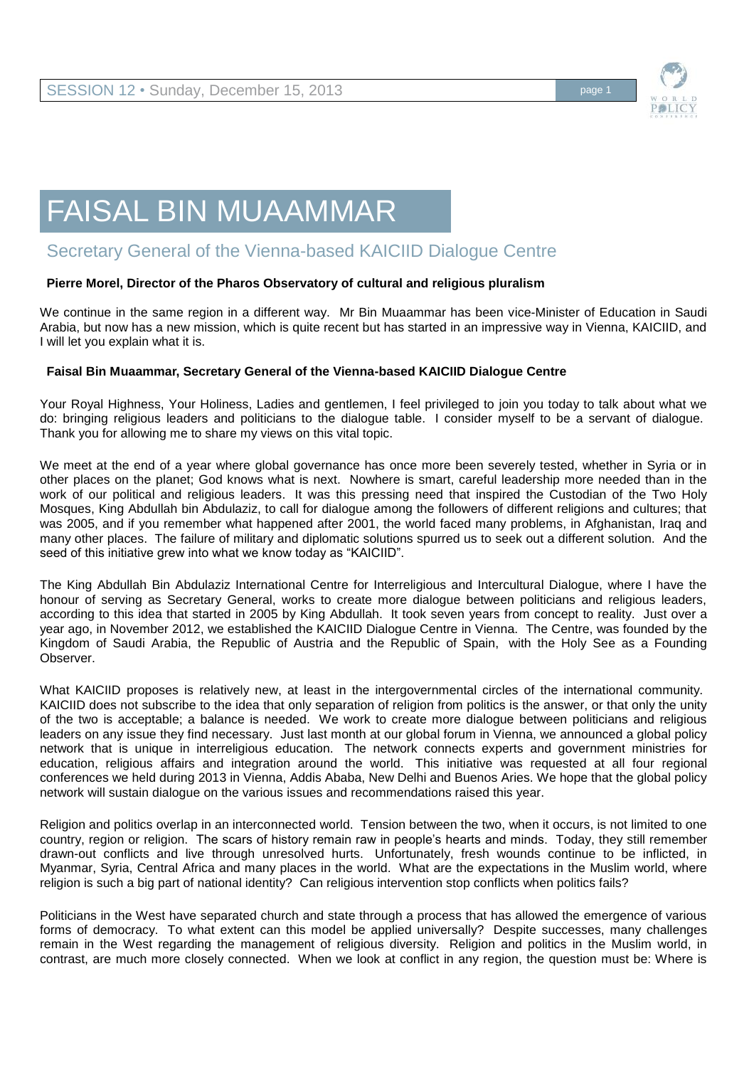

# FAISAL BIN MUAAMMAR

## Secretary General of the Vienna-based KAICIID Dialogue Centre

### **Pierre Morel, Director of the Pharos Observatory of cultural and religious pluralism**

We continue in the same region in a different way. Mr Bin Muaammar has been vice-Minister of Education in Saudi Arabia, but now has a new mission, which is quite recent but has started in an impressive way in Vienna, KAICIID, and I will let you explain what it is.

#### **Faisal Bin Muaammar, Secretary General of the Vienna-based KAICIID Dialogue Centre**

Your Royal Highness, Your Holiness, Ladies and gentlemen, I feel privileged to join you today to talk about what we do: bringing religious leaders and politicians to the dialogue table. I consider myself to be a servant of dialogue. Thank you for allowing me to share my views on this vital topic.

We meet at the end of a year where global governance has once more been severely tested, whether in Syria or in other places on the planet; God knows what is next. Nowhere is smart, careful leadership more needed than in the work of our political and religious leaders. It was this pressing need that inspired the Custodian of the Two Holy Mosques, King Abdullah bin Abdulaziz, to call for dialogue among the followers of different religions and cultures; that was 2005, and if you remember what happened after 2001, the world faced many problems, in Afghanistan, Iraq and many other places. The failure of military and diplomatic solutions spurred us to seek out a different solution. And the seed of this initiative grew into what we know today as "KAICIID".

The King Abdullah Bin Abdulaziz International Centre for Interreligious and Intercultural Dialogue, where I have the honour of serving as Secretary General, works to create more dialogue between politicians and religious leaders, according to this idea that started in 2005 by King Abdullah. It took seven years from concept to reality. Just over a year ago, in November 2012, we established the KAICIID Dialogue Centre in Vienna. The Centre, was founded by the Kingdom of Saudi Arabia, the Republic of Austria and the Republic of Spain, with the Holy See as a Founding Observer.

What KAICIID proposes is relatively new, at least in the intergovernmental circles of the international community. KAICIID does not subscribe to the idea that only separation of religion from politics is the answer, or that only the unity of the two is acceptable; a balance is needed. We work to create more dialogue between politicians and religious leaders on any issue they find necessary. Just last month at our global forum in Vienna, we announced a global policy network that is unique in interreligious education. The network connects experts and government ministries for education, religious affairs and integration around the world. This initiative was requested at all four regional conferences we held during 2013 in Vienna, Addis Ababa, New Delhi and Buenos Aries. We hope that the global policy network will sustain dialogue on the various issues and recommendations raised this year.

Religion and politics overlap in an interconnected world. Tension between the two, when it occurs, is not limited to one country, region or religion. The scars of history remain raw in people's hearts and minds. Today, they still remember drawn-out conflicts and live through unresolved hurts. Unfortunately, fresh wounds continue to be inflicted, in Myanmar, Syria, Central Africa and many places in the world. What are the expectations in the Muslim world, where religion is such a big part of national identity? Can religious intervention stop conflicts when politics fails?

Politicians in the West have separated church and state through a process that has allowed the emergence of various forms of democracy. To what extent can this model be applied universally? Despite successes, many challenges remain in the West regarding the management of religious diversity. Religion and politics in the Muslim world, in contrast, are much more closely connected. When we look at conflict in any region, the question must be: Where is